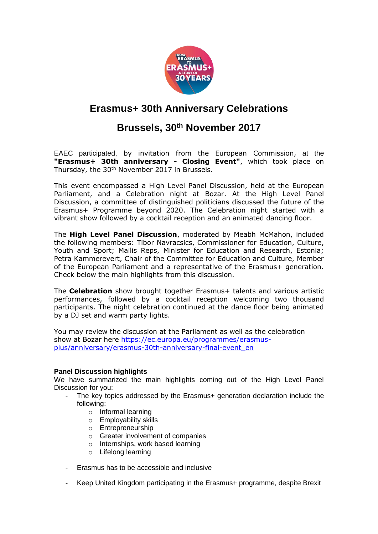

## **Erasmus+ 30th Anniversary Celebrations**

## **Brussels, 30th November 2017**

EAEC participated, by invitation from the European Commission, at the **"Erasmus+ 30th anniversary - Closing Event"**, which took place on Thursday, the 30<sup>th</sup> November 2017 in Brussels.

This event encompassed a High Level Panel Discussion, held at the European Parliament, and a Celebration night at Bozar. At the High Level Panel Discussion, a committee of distinguished politicians discussed the future of the Erasmus+ Programme beyond 2020. The Celebration night started with a vibrant show followed by a cocktail reception and an animated dancing floor.

The **High Level Panel Discussion**, moderated by Meabh McMahon, included the following members: Tibor Navracsics, Commissioner for Education, Culture, Youth and Sport; Mailis Reps, Minister for Education and Research, Estonia; Petra Kammerevert, Chair of the Committee for Education and Culture, Member of the European Parliament and a representative of the Erasmus+ generation. Check below the main highlights from this discussion.

The **Celebration** show brought together Erasmus+ talents and various artistic performances, followed by a cocktail reception welcoming two thousand participants. The night celebration continued at the dance floor being animated by a DJ set and warm party lights.

You may review the discussion at the Parliament as well as the celebration show at Bozar here [https://ec.europa.eu/programmes/erasmus](https://ec.europa.eu/programmes/erasmus-plus/anniversary/erasmus-30th-anniversary-final-event_en)[plus/anniversary/erasmus-30th-anniversary-final-event\\_en](https://ec.europa.eu/programmes/erasmus-plus/anniversary/erasmus-30th-anniversary-final-event_en)

## **Panel Discussion highlights**

We have summarized the main highlights coming out of the High Level Panel Discussion for you:

- The key topics addressed by the Erasmus+ generation declaration include the following:
	- o Informal learning
	- o Employability skills
	- o Entrepreneurship
	- o Greater involvement of companies
	- o Internships, work based learning
	- o Lifelong learning
- Erasmus has to be accessible and inclusive
- Keep United Kingdom participating in the Erasmus+ programme, despite Brexit